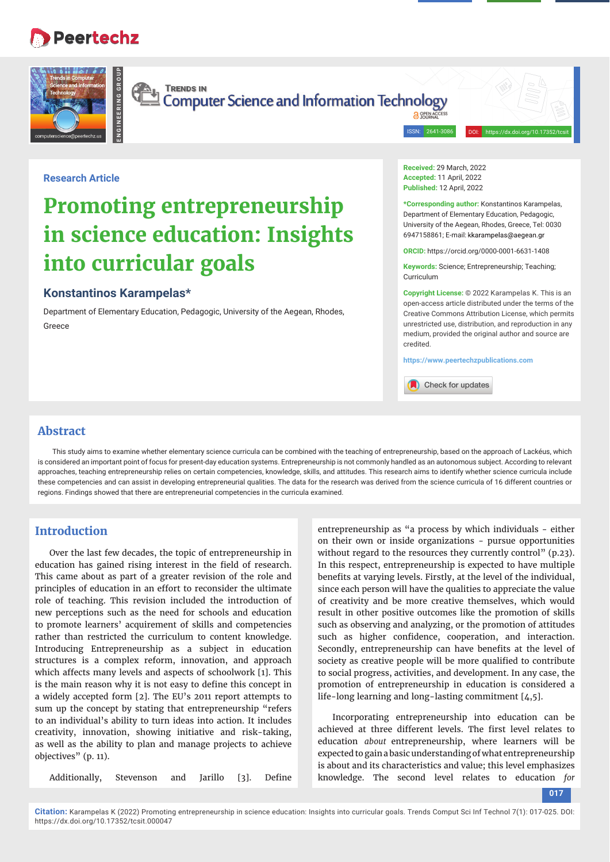## **Peertechz**



**TRENDS IN** Computer Science and Information Technology

> **A OPEN AC** ISSN: 2641-308

## **Research Article**

# **Promoting entrepreneurship in science education: Insights into curricular goals**

## **Konstantinos Karampelas\***

**ENGINEERING GROUP**

Department of Elementary Education, Pedagogic, University of the Aegean, Rhodes, Greece

**Received:** 29 March, 2022 **Accepted:** 11 April, 2022 **Published:** 12 April, 2022

**\*Corresponding author:** Konstantinos Karampelas, Department of Elementary Education, Pedagogic, University of the Aegean, Rhodes, Greece, Tel: 0030 6947158861; E-mail:

**ORCID:** https://orcid.org/0000-0001-6631-1408

**Keywords:** Science; Entrepreneurship; Teaching; Curriculum

**Copyright License:** © 2022 Karampelas K. This is an open-access article distributed under the terms of the Creative Commons Attribution License, which permits unrestricted use, distribution, and reproduction in any medium, provided the original author and source are credited.

**https://www.peertechzpublications.com**

Check for updates

## **Abstract**

This study aims to examine whether elementary science curricula can be combined with the teaching of entrepreneurship, based on the approach of Lackéus, which is considered an important point of focus for present-day education systems. Entrepreneurship is not commonly handled as an autonomous subject. According to relevant approaches, teaching entrepreneurship relies on certain competencies, knowledge, skills, and attitudes. This research aims to identify whether science curricula include these competencies and can assist in developing entrepreneurial qualities. The data for the research was derived from the science curricula of 16 different countries or regions. Findings showed that there are entrepreneurial competencies in the curricula examined.

## **Introduction**

Over the last few decades, the topic of entrepreneurship in education has gained rising interest in the field of research. This came about as part of a greater revision of the role and principles of education in an effort to reconsider the ultimate role of teaching. This revision included the introduction of new perceptions such as the need for schools and education to promote learners' acquirement of skills and competencies rather than restricted the curriculum to content knowledge. Introducing Entrepreneurship as a subject in education structures is a complex reform, innovation, and approach which affects many levels and aspects of schoolwork [1]. This is the main reason why it is not easy to define this concept in a widely accepted form [2]. The EU's 2011 report attempts to sum up the concept by stating that entrepreneurship "refers to an individual's ability to turn ideas into action. It includes creativity, innovation, showing initiative and risk-taking, as well as the ability to plan and manage projects to achieve objectives" (p. 11).

Additionally, Stevenson and Jarillo [3]. Define

entrepreneurship as "a process by which individuals - either on their own or inside organizations - pursue opportunities without regard to the resources they currently control" (p.23). In this respect, entrepreneurship is expected to have multiple benefits at varying levels. Firstly, at the level of the individual, since each person will have the qualities to appreciate the value of creativity and be more creative themselves, which would result in other positive outcomes like the promotion of skills such as observing and analyzing, or the promotion of attitudes such as higher confidence, cooperation, and interaction. Secondly, entrepreneurship can have benefits at the level of society as creative people will be more qualified to contribute to social progress, activities, and development. In any case, the promotion of entrepreneurship in education is considered a life-long learning and long-lasting commitment [4,5].

Incorporating entrepreneurship into education can be achieved at three different levels. The first level relates to education *about* entrepreneurship, where learners will be expected to gain a basic understanding of what entrepreneurship is about and its characteristics and value; this level emphasizes knowledge. The second level relates to education *for*

**017**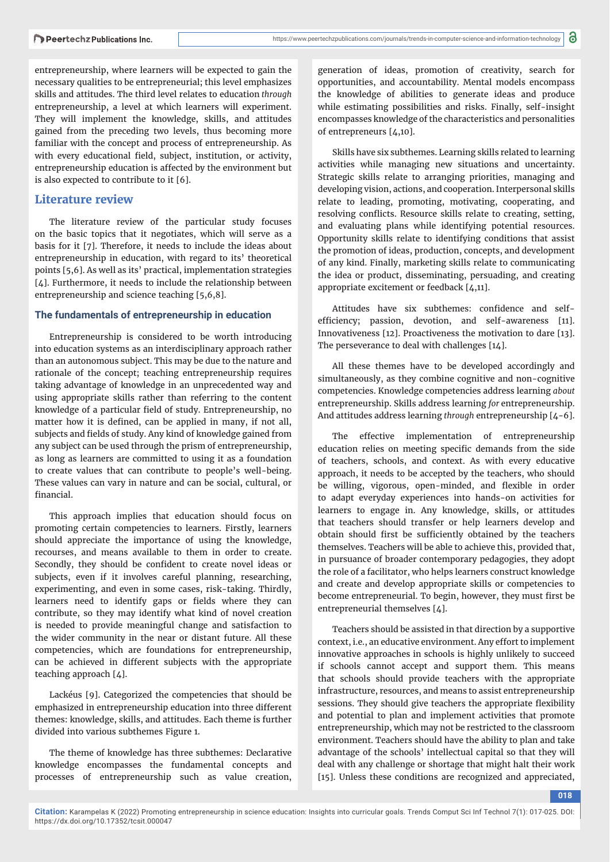entrepreneurship, where learners will be expected to gain the necessary qualities to be entrepreneurial; this level emphasizes skills and attitudes. The third level relates to education *through* entrepreneurship, a level at which learners will experiment. They will implement the knowledge, skills, and attitudes gained from the preceding two levels, thus becoming more familiar with the concept and process of entrepreneurship. As with every educational field, subject, institution, or activity, entrepreneurship education is affected by the environment but is also expected to contribute to it [6].

## **Literature review**

The literature review of the particular study focuses on the basic topics that it negotiates, which will serve as a basis for it [7]. Therefore, it needs to include the ideas about entrepreneurship in education, with regard to its' theoretical points [5,6]. As well as its' practical, implementation strategies [4]. Furthermore, it needs to include the relationship between entrepreneurship and science teaching [5,6,8].

#### **The fundamentals of entrepreneurship in education**

Entrepreneurship is considered to be worth introducing into education systems as an interdisciplinary approach rather than an autonomous subject. This may be due to the nature and rationale of the concept; teaching entrepreneurship requires taking advantage of knowledge in an unprecedented way and using appropriate skills rather than referring to the content knowledge of a particular field of study. Entrepreneurship, no matter how it is defined, can be applied in many, if not all, subjects and fields of study. Any kind of knowledge gained from any subject can be used through the prism of entrepreneurship, as long as learners are committed to using it as a foundation to create values that can contribute to people's well-being. These values can vary in nature and can be social, cultural, or financial.

This approach implies that education should focus on promoting certain competencies to learners. Firstly, learners should appreciate the importance of using the knowledge, recourses, and means available to them in order to create. Secondly, they should be confident to create novel ideas or subjects, even if it involves careful planning, researching, experimenting, and even in some cases, risk-taking. Thirdly, learners need to identify gaps or fields where they can contribute, so they may identify what kind of novel creation is needed to provide meaningful change and satisfaction to the wider community in the near or distant future. All these competencies, which are foundations for entrepreneurship, can be achieved in different subjects with the appropriate teaching approach [4].

Lackéus [9]. Categorized the competencies that should be emphasized in entrepreneurship education into three different themes: knowledge, skills, and attitudes. Each theme is further divided into various subthemes Figure 1.

The theme of knowledge has three subthemes: Declarative knowledge encompasses the fundamental concepts and processes of entrepreneurship such as value creation,

generation of ideas, promotion of creativity, search for opportunities, and accountability. Mental models encompass the knowledge of abilities to generate ideas and produce while estimating possibilities and risks. Finally, self-insight encompasses knowledge of the characteristics and personalities of entrepreneurs [4,10].

Skills have six subthemes. Learning skills related to learning activities while managing new situations and uncertainty. Strategic skills relate to arranging priorities, managing and developing vision, actions, and cooperation. Interpersonal skills relate to leading, promoting, motivating, cooperating, and resolving conflicts. Resource skills relate to creating, setting, and evaluating plans while identifying potential resources. Opportunity skills relate to identifying conditions that assist the promotion of ideas, production, concepts, and development of any kind. Finally, marketing skills relate to communicating the idea or product, disseminating, persuading, and creating appropriate excitement or feedback [4,11].

Attitudes have six subthemes: confidence and selfefficiency; passion, devotion, and self-awareness [11]. Innovativeness [12]. Proactiveness the motivation to dare [13]. The perseverance to deal with challenges [14].

All these themes have to be developed accordingly and simultaneously, as they combine cognitive and non-cognitive competencies. Knowledge competencies address learning *about* entrepreneurship. Skills address learning *for* entrepreneurship. And attitudes address learning *through* entrepreneurship [4-6].

The effective implementation of entrepreneurship education relies on meeting specific demands from the side of teachers, schools, and context. As with every educative approach, it needs to be accepted by the teachers, who should be willing, vigorous, open-minded, and flexible in order to adapt everyday experiences into hands-on activities for learners to engage in. Any knowledge, skills, or attitudes that teachers should transfer or help learners develop and obtain should first be sufficiently obtained by the teachers themselves. Teachers will be able to achieve this, provided that, in pursuance of broader contemporary pedagogies, they adopt the role of a facilitator, who helps learners construct knowledge and create and develop appropriate skills or competencies to become entrepreneurial. To begin, however, they must first be entrepreneurial themselves [4].

Teachers should be assisted in that direction by a supportive context, i.e., an educative environment. Any effort to implement innovative approaches in schools is highly unlikely to succeed if schools cannot accept and support them. This means that schools should provide teachers with the appropriate infrastructure, resources, and means to assist entrepreneurship sessions. They should give teachers the appropriate flexibility and potential to plan and implement activities that promote entrepreneurship, which may not be restricted to the classroom environment. Teachers should have the ability to plan and take advantage of the schools' intellectual capital so that they will deal with any challenge or shortage that might halt their work [15]. Unless these conditions are recognized and appreciated,

**018**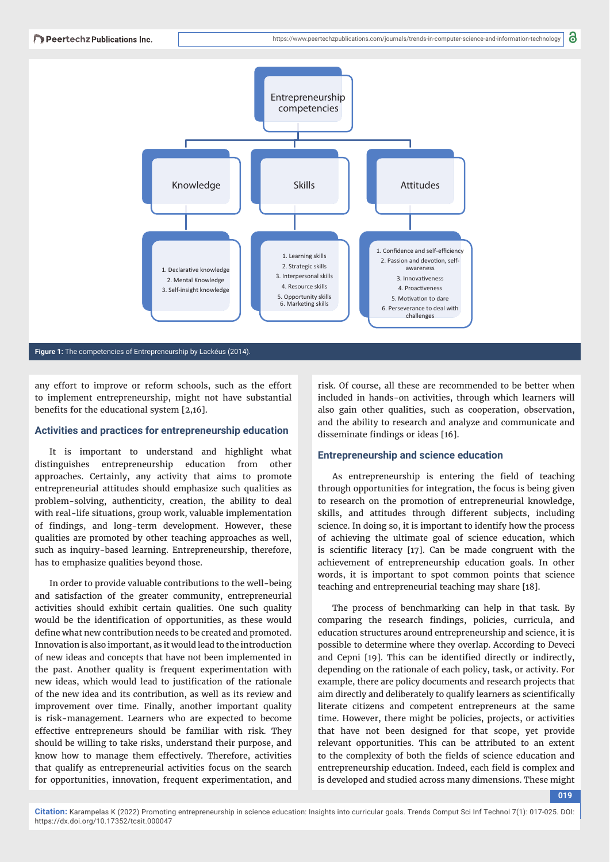

#### **Figure 1:** The competencies of Entrepreneurship by Lackéus (2014).

any effort to improve or reform schools, such as the effort to implement entrepreneurship, might not have substantial benefits for the educational system  $[2,16]$ .

#### **Activities and practices for entrepreneurship education**

It is important to understand and highlight what distinguishes entrepreneurship education from other approaches. Certainly, any activity that aims to promote entrepreneurial attitudes should emphasize such qualities as problem-solving, authenticity, creation, the ability to deal with real-life situations, group work, valuable implementation of findings, and long-term development. However, these qualities are promoted by other teaching approaches as well, such as inquiry-based learning. Entrepreneurship, therefore, has to emphasize qualities beyond those.

In order to provide valuable contributions to the well-being and satisfaction of the greater community, entrepreneurial activities should exhibit certain qualities. One such quality would be the identification of opportunities, as these would define what new contribution needs to be created and promoted. Innovation is also important, as it would lead to the introduction of new ideas and concepts that have not been implemented in the past. Another quality is frequent experimentation with new ideas, which would lead to justification of the rationale of the new idea and its contribution, as well as its review and improvement over time. Finally, another important quality is risk-management. Learners who are expected to become effective entrepreneurs should be familiar with risk. They should be willing to take risks, understand their purpose, and know how to manage them effectively. Therefore, activities that qualify as entrepreneurial activities focus on the search for opportunities, innovation, frequent experimentation, and

risk. Of course, all these are recommended to be better when included in hands-on activities, through which learners will also gain other qualities, such as cooperation, observation, and the ability to research and analyze and communicate and disseminate findings or ideas [16].

#### **Entrepreneurship and science education**

As entrepreneurship is entering the field of teaching through opportunities for integration, the focus is being given to research on the promotion of entrepreneurial knowledge, skills, and attitudes through different subjects, including science. In doing so, it is important to identify how the process of achieving the ultimate goal of science education, which is scientific literacy [17]. Can be made congruent with the achievement of entrepreneurship education goals. In other words, it is important to spot common points that science teaching and entrepreneurial teaching may share [18].

The process of benchmarking can help in that task. By comparing the research findings, policies, curricula, and education structures around entrepreneurship and science, it is possible to determine where they overlap. According to Deveci and Cepni [19]. This can be identified directly or indirectly, depending on the rationale of each policy, task, or activity. For example, there are policy documents and research projects that aim directly and deliberately to qualify learners as scientifically literate citizens and competent entrepreneurs at the same time. However, there might be policies, projects, or activities that have not been designed for that scope, yet provide relevant opportunities. This can be attributed to an extent to the complexity of both the fields of science education and entrepreneurship education. Indeed, each field is complex and is developed and studied across many dimensions. These might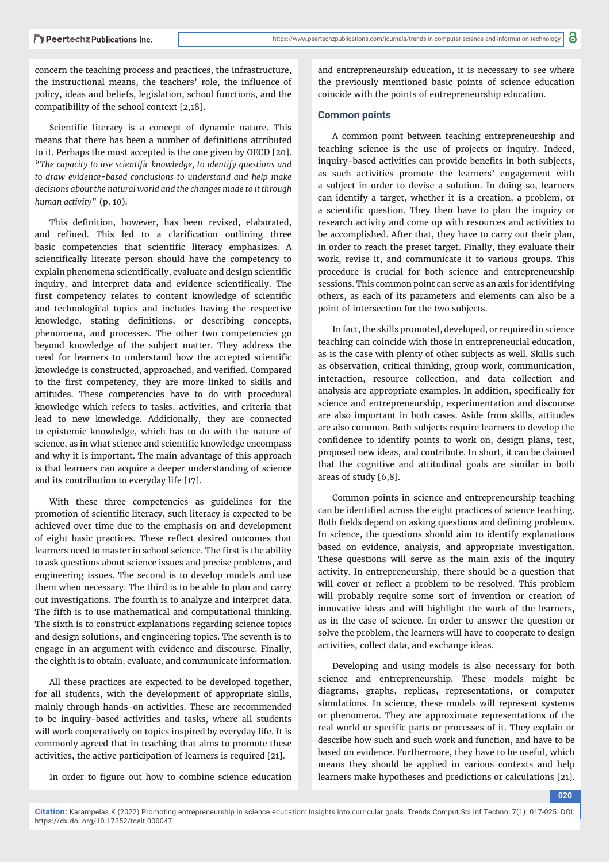concern the teaching process and practices, the infrastructure, the instructional means, the teachers' role, the influence of policy, ideas and beliefs, legislation, school functions, and the compatibility of the school context [2,18].

Scientific literacy is a concept of dynamic nature. This means that there has been a number of definitions attributed to it. Perhaps the most accepted is the one given by OECD [20]. "The capacity to use scientific knowledge, to identify questions and *to draw evidence-based conclusions to understand and help make decisions about the natural world and the changes made to it through human activity*" (p. 10).

This definition, however, has been revised, elaborated, and refined. This led to a clarification outlining three basic competencies that scientific literacy emphasizes. A scientifically literate person should have the competency to explain phenomena scientifically, evaluate and design scientific inquiry, and interpret data and evidence scientifically. The first competency relates to content knowledge of scientific and technological topics and includes having the respective knowledge, stating definitions, or describing concepts, phenomena, and processes. The other two competencies go beyond knowledge of the subject matter. They address the need for learners to understand how the accepted scientific knowledge is constructed, approached, and verified. Compared to the first competency, they are more linked to skills and attitudes. These competencies have to do with procedural knowledge which refers to tasks, activities, and criteria that lead to new knowledge. Additionally, they are connected to epistemic knowledge, which has to do with the nature of science, as in what science and scientific knowledge encompass and why it is important. The main advantage of this approach is that learners can acquire a deeper understanding of science and its contribution to everyday life [17].

With these three competencies as guidelines for the promotion of scientific literacy, such literacy is expected to be achieved over time due to the emphasis on and development of eight basic practices. These reflect desired outcomes that learners need to master in school science. The first is the ability to ask questions about science issues and precise problems, and engineering issues. The second is to develop models and use them when necessary. The third is to be able to plan and carry out investigations. The fourth is to analyze and interpret data. The fifth is to use mathematical and computational thinking. The sixth is to construct explanations regarding science topics and design solutions, and engineering topics. The seventh is to engage in an argument with evidence and discourse. Finally, the eighth is to obtain, evaluate, and communicate information.

All these practices are expected to be developed together, for all students, with the development of appropriate skills, mainly through hands-on activities. These are recommended to be inquiry-based activities and tasks, where all students will work cooperatively on topics inspired by everyday life. It is commonly agreed that in teaching that aims to promote these activities, the active participation of learners is required [21].

In order to figure out how to combine science education

and entrepreneurship education, it is necessary to see where the previously mentioned basic points of science education coincide with the points of entrepreneurship education.

#### **Common points**

A common point between teaching entrepreneurship and teaching science is the use of projects or inquiry. Indeed, inquiry-based activities can provide benefits in both subjects, as such activities promote the learners' engagement with a subject in order to devise a solution. In doing so, learners can identify a target, whether it is a creation, a problem, or a scientific question. They then have to plan the inquiry or research activity and come up with resources and activities to be accomplished. After that, they have to carry out their plan, in order to reach the preset target. Finally, they evaluate their work, revise it, and communicate it to various groups. This procedure is crucial for both science and entrepreneurship sessions. This common point can serve as an axis for identifying others, as each of its parameters and elements can also be a point of intersection for the two subjects.

In fact, the skills promoted, developed, or required in science teaching can coincide with those in entrepreneurial education, as is the case with plenty of other subjects as well. Skills such as observation, critical thinking, group work, communication, interaction, resource collection, and data collection and analysis are appropriate examples. In addition, specifically for science and entrepreneurship, experimentation and discourse are also important in both cases. Aside from skills, attitudes are also common. Both subjects require learners to develop the confidence to identify points to work on, design plans, test, proposed new ideas, and contribute. In short, it can be claimed that the cognitive and attitudinal goals are similar in both areas of study [6,8].

Common points in science and entrepreneurship teaching can be identified across the eight practices of science teaching. Both fields depend on asking questions and defining problems. In science, the questions should aim to identify explanations based on evidence, analysis, and appropriate investigation. These questions will serve as the main axis of the inquiry activity. In entrepreneurship, there should be a question that will cover or reflect a problem to be resolved. This problem will probably require some sort of invention or creation of innovative ideas and will highlight the work of the learners, as in the case of science. In order to answer the question or solve the problem, the learners will have to cooperate to design activities, collect data, and exchange ideas.

Developing and using models is also necessary for both science and entrepreneurship. These models might be diagrams, graphs, replicas, representations, or computer simulations. In science, these models will represent systems or phenomena. They are approximate representations of the real world or specific parts or processes of it. They explain or describe how such and such work and function, and have to be based on evidence. Furthermore, they have to be useful, which means they should be applied in various contexts and help learners make hypotheses and predictions or calculations [21].

**020**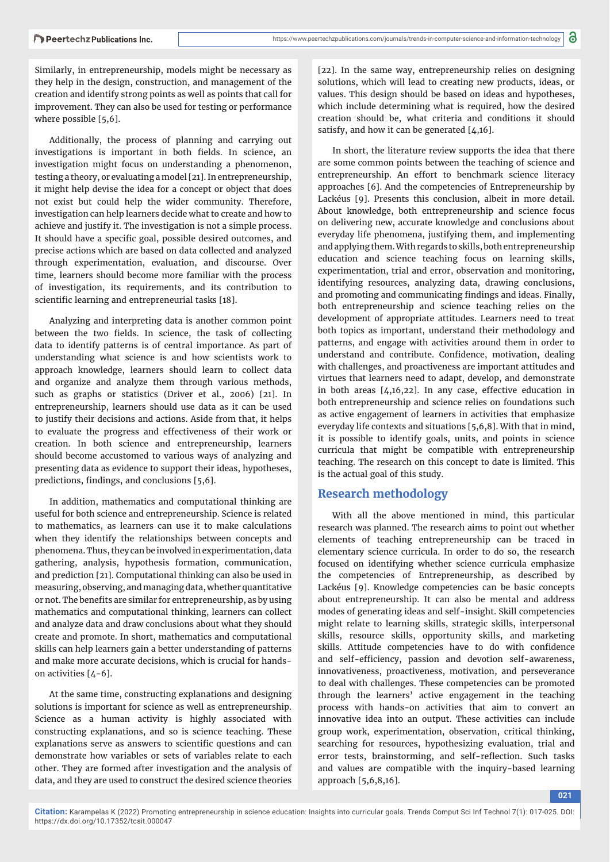Similarly, in entrepreneurship, models might be necessary as they help in the design, construction, and management of the creation and identify strong points as well as points that call for improvement. They can also be used for testing or performance where possible [5,6].

Additionally, the process of planning and carrying out investigations is important in both fields. In science, an investigation might focus on understanding a phenomenon, testing a theory, or evaluating a model [21]. In entrepreneurship, it might help devise the idea for a concept or object that does not exist but could help the wider community. Therefore, investigation can help learners decide what to create and how to achieve and justify it. The investigation is not a simple process. It should have a specific goal, possible desired outcomes, and precise actions which are based on data collected and analyzed through experimentation, evaluation, and discourse. Over time, learners should become more familiar with the process of investigation, its requirements, and its contribution to scientific learning and entrepreneurial tasks [18].

Analyzing and interpreting data is another common point between the two fields. In science, the task of collecting data to identify patterns is of central importance. As part of understanding what science is and how scientists work to approach knowledge, learners should learn to collect data and organize and analyze them through various methods, such as graphs or statistics (Driver et al., 2006) [21]. In entrepreneurship, learners should use data as it can be used to justify their decisions and actions. Aside from that, it helps to evaluate the progress and effectiveness of their work or creation. In both science and entrepreneurship, learners should become accustomed to various ways of analyzing and presenting data as evidence to support their ideas, hypotheses, predictions, findings, and conclusions  $[5,6]$ .

In addition, mathematics and computational thinking are useful for both science and entrepreneurship. Science is related to mathematics, as learners can use it to make calculations when they identify the relationships between concepts and phenomena. Thus, they can be involved in experimentation, data gathering, analysis, hypothesis formation, communication, and prediction [21]. Computational thinking can also be used in measuring, observing, and managing data, whether quantitative or not. The benefits are similar for entrepreneurship, as by using mathematics and computational thinking, learners can collect and analyze data and draw conclusions about what they should create and promote. In short, mathematics and computational skills can help learners gain a better understanding of patterns and make more accurate decisions, which is crucial for handson activities [4-6].

At the same time, constructing explanations and designing solutions is important for science as well as entrepreneurship. Science as a human activity is highly associated with constructing explanations, and so is science teaching. These explanations serve as answers to scientific questions and can demonstrate how variables or sets of variables relate to each other. They are formed after investigation and the analysis of data, and they are used to construct the desired science theories

[22]. In the same way, entrepreneurship relies on designing solutions, which will lead to creating new products, ideas, or values. This design should be based on ideas and hypotheses, which include determining what is required, how the desired creation should be, what criteria and conditions it should satisfy, and how it can be generated  $[4,16]$ .

In short, the literature review supports the idea that there are some common points between the teaching of science and entrepreneurship. An effort to benchmark science literacy approaches [6]. And the competencies of Entrepreneurship by Lackéus [9]. Presents this conclusion, albeit in more detail. About knowledge, both entrepreneurship and science focus on delivering new, accurate knowledge and conclusions about everyday life phenomena, justifying them, and implementing and applying them. With regards to skills, both entrepreneurship education and science teaching focus on learning skills, experimentation, trial and error, observation and monitoring, identifying resources, analyzing data, drawing conclusions, and promoting and communicating findings and ideas. Finally, both entrepreneurship and science teaching relies on the development of appropriate attitudes. Learners need to treat both topics as important, understand their methodology and patterns, and engage with activities around them in order to understand and contribute. Confidence, motivation, dealing with challenges, and proactiveness are important attitudes and virtues that learners need to adapt, develop, and demonstrate in both areas [4,16,22]. In any case, effective education in both entrepreneurship and science relies on foundations such as active engagement of learners in activities that emphasize everyday life contexts and situations [5,6,8]. With that in mind, it is possible to identify goals, units, and points in science curricula that might be compatible with entrepreneurship teaching. The research on this concept to date is limited. This is the actual goal of this study.

## **Research methodology**

With all the above mentioned in mind, this particular research was planned. The research aims to point out whether elements of teaching entrepreneurship can be traced in elementary science curricula. In order to do so, the research focused on identifying whether science curricula emphasize the competencies of Entrepreneurship, as described by Lackéus [9]. Knowledge competencies can be basic concepts about entrepreneurship. It can also be mental and address modes of generating ideas and self-insight. Skill competencies might relate to learning skills, strategic skills, interpersonal skills, resource skills, opportunity skills, and marketing skills. Attitude competencies have to do with confidence and self-efficiency, passion and devotion self-awareness, innovativeness, proactiveness, motivation, and perseverance to deal with challenges. These competencies can be promoted through the learners' active engagement in the teaching process with hands-on activities that aim to convert an innovative idea into an output. These activities can include group work, experimentation, observation, critical thinking, searching for resources, hypothesizing evaluation, trial and error tests, brainstorming, and self-reflection. Such tasks and values are compatible with the inquiry-based learning approach [5,6,8,16].

**021**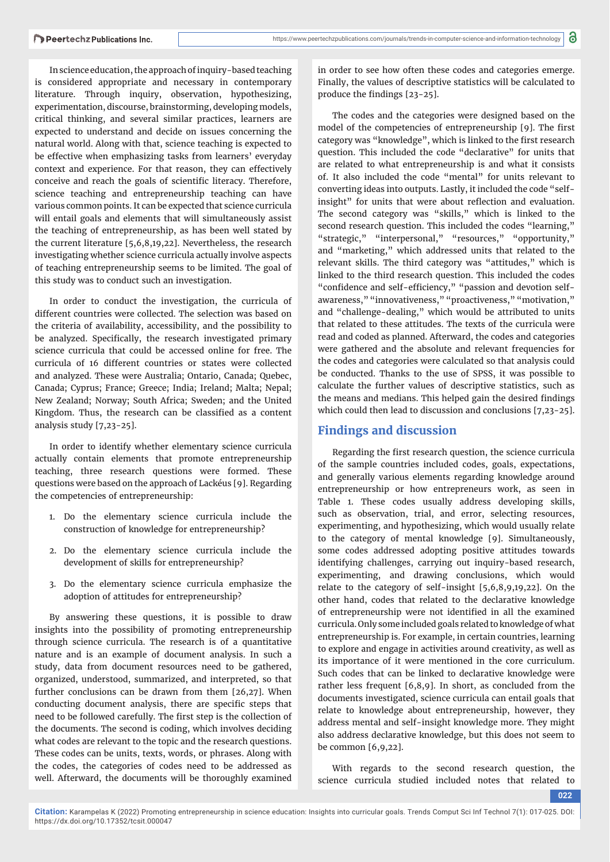In science education, the approach of inquiry-based teaching is considered appropriate and necessary in contemporary literature. Through inquiry, observation, hypothesizing, experimentation, discourse, brainstorming, developing models, critical thinking, and several similar practices, learners are expected to understand and decide on issues concerning the natural world. Along with that, science teaching is expected to be effective when emphasizing tasks from learners' everyday context and experience. For that reason, they can effectively conceive and reach the goals of scientific literacy. Therefore, science teaching and entrepreneurship teaching can have various common points. It can be expected that science curricula will entail goals and elements that will simultaneously assist the teaching of entrepreneurship, as has been well stated by the current literature [5,6,8,19,22]. Nevertheless, the research investigating whether science curricula actually involve aspects of teaching entrepreneurship seems to be limited. The goal of this study was to conduct such an investigation.

In order to conduct the investigation, the curricula of different countries were collected. The selection was based on the criteria of availability, accessibility, and the possibility to be analyzed. Specifically, the research investigated primary science curricula that could be accessed online for free. The curricula of 16 different countries or states were collected and analyzed. These were Australia; Ontario, Canada; Quebec, Canada; Cyprus; France; Greece; India; Ireland; Malta; Nepal; New Zealand; Norway; South Africa; Sweden; and the United Kingdom. Thus, the research can be classified as a content analysis study [7,23-25].

In order to identify whether elementary science curricula actually contain elements that promote entrepreneurship teaching, three research questions were formed. These questions were based on the approach of Lackéus [9]. Regarding the competencies of entrepreneurship:

- 1. Do the elementary science curricula include the construction of knowledge for entrepreneurship?
- 2. Do the elementary science curricula include the development of skills for entrepreneurship?
- 3. Do the elementary science curricula emphasize the adoption of attitudes for entrepreneurship?

By answering these questions, it is possible to draw insights into the possibility of promoting entrepreneurship through science curricula. The research is of a quantitative nature and is an example of document analysis. In such a study, data from document resources need to be gathered, organized, understood, summarized, and interpreted, so that further conclusions can be drawn from them [26,27]. When conducting document analysis, there are specific steps that need to be followed carefully. The first step is the collection of the documents. The second is coding, which involves deciding what codes are relevant to the topic and the research questions. These codes can be units, texts, words, or phrases. Along with the codes, the categories of codes need to be addressed as well. Afterward, the documents will be thoroughly examined

in order to see how often these codes and categories emerge. Finally, the values of descriptive statistics will be calculated to produce the findings [23-25].

The codes and the categories were designed based on the model of the competencies of entrepreneurship [9]. The first category was "knowledge", which is linked to the first research question. This included the code "declarative" for units that are related to what entrepreneurship is and what it consists of. It also included the code "mental" for units relevant to converting ideas into outputs. Lastly, it included the code "selfinsight" for units that were about reflection and evaluation. The second category was "skills," which is linked to the second research question. This included the codes "learning," "strategic," "interpersonal," "resources," "opportunity," and "marketing," which addressed units that related to the relevant skills. The third category was "attitudes," which is linked to the third research question. This included the codes "confidence and self-efficiency," "passion and devotion selfawareness," "innovativeness," "proactiveness," "motivation," and "challenge-dealing," which would be attributed to units that related to these attitudes. The texts of the curricula were read and coded as planned. Afterward, the codes and categories were gathered and the absolute and relevant frequencies for the codes and categories were calculated so that analysis could be conducted. Thanks to the use of SPSS, it was possible to calculate the further values of descriptive statistics, such as the means and medians. This helped gain the desired findings which could then lead to discussion and conclusions [7,23-25].

## **Findings and discussion**

Regarding the first research question, the science curricula of the sample countries included codes, goals, expectations, and generally various elements regarding knowledge around entrepreneurship or how entrepreneurs work, as seen in Table 1. These codes usually address developing skills, such as observation, trial, and error, selecting resources, experimenting, and hypothesizing, which would usually relate to the category of mental knowledge [9]. Simultaneously, some codes addressed adopting positive attitudes towards identifying challenges, carrying out inquiry-based research, experimenting, and drawing conclusions, which would relate to the category of self-insight [5,6,8,9,19,22]. On the other hand, codes that related to the declarative knowledge of entrepreneurship were not identified in all the examined curricula. Only some included goals related to knowledge of what entrepreneurship is. For example, in certain countries, learning to explore and engage in activities around creativity, as well as its importance of it were mentioned in the core curriculum. Such codes that can be linked to declarative knowledge were rather less frequent [6,8,9]. In short, as concluded from the documents investigated, science curricula can entail goals that relate to knowledge about entrepreneurship, however, they address mental and self-insight knowledge more. They might also address declarative knowledge, but this does not seem to be common [6,9,22].

With regards to the second research question, the science curricula studied included notes that related to

**022**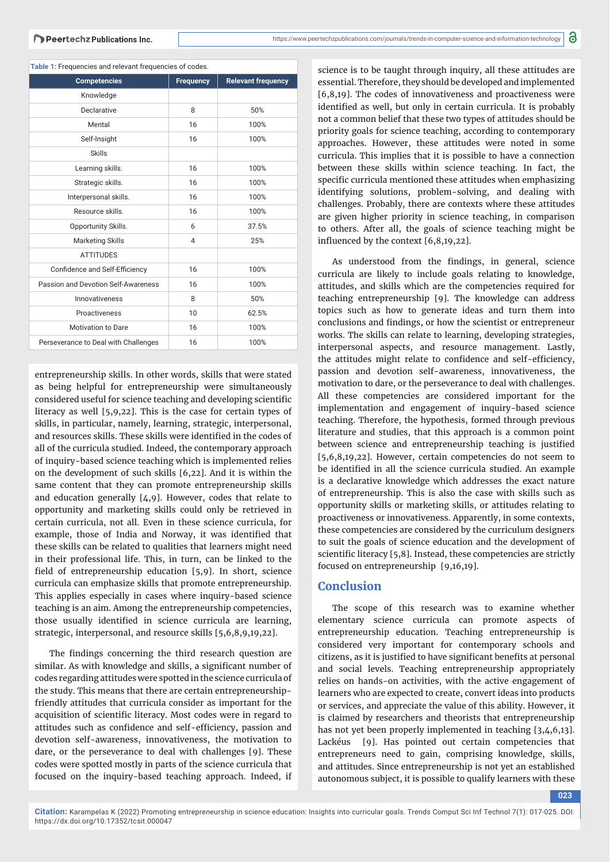|  |  | Table 1: Frequencies and relevant frequencies of codes. |  |  |  |  |
|--|--|---------------------------------------------------------|--|--|--|--|
|--|--|---------------------------------------------------------|--|--|--|--|

| <b>Table 1:</b> Tequencies and relevant hequencies or could.<br><b>Competencies</b> | <b>Frequency</b> | <b>Relevant frequency</b> |
|-------------------------------------------------------------------------------------|------------------|---------------------------|
| Knowledge                                                                           |                  |                           |
|                                                                                     |                  |                           |
| <b>Declarative</b>                                                                  | 8                | 50%                       |
| Mental                                                                              | 16               | 100%                      |
| Self-Insight                                                                        | 16               | 100%                      |
| <b>Skills</b>                                                                       |                  |                           |
| Learning skills.                                                                    | 16               | 100%                      |
| Strategic skills.                                                                   | 16               | 100%                      |
| Interpersonal skills.                                                               | 16               | 100%                      |
| Resource skills.                                                                    | 16               | 100%                      |
| Opportunity Skills.                                                                 | 6                | 37.5%                     |
| <b>Marketing Skills</b>                                                             | 4                | 25%                       |
| <b>ATTITUDES</b>                                                                    |                  |                           |
| Confidence and Self-Efficiency                                                      | 16               | 100%                      |
| Passion and Devotion Self-Awareness                                                 | 16               | 100%                      |
| Innovativeness                                                                      | 8                | 50%                       |
| Proactiveness                                                                       | 10               | 62.5%                     |
| Motivation to Dare                                                                  | 16               | 100%                      |
| Perseverance to Deal with Challenges                                                | 16               | 100%                      |

entrepreneurship skills. In other words, skills that were stated as being helpful for entrepreneurship were simultaneously considered useful for science teaching and developing scientific literacy as well [5,9,22]. This is the case for certain types of skills, in particular, namely, learning, strategic, interpersonal, and resources skills. These skills were identified in the codes of all of the curricula studied. Indeed, the contemporary approach of inquiry-based science teaching which is implemented relies on the development of such skills [6,22]. And it is within the same content that they can promote entrepreneurship skills and education generally [4,9]. However, codes that relate to opportunity and marketing skills could only be retrieved in certain curricula, not all. Even in these science curricula, for example, those of India and Norway, it was identified that these skills can be related to qualities that learners might need in their professional life. This, in turn, can be linked to the field of entrepreneurship education  $[5,9]$ . In short, science curricula can emphasize skills that promote entrepreneurship. This applies especially in cases where inquiry-based science teaching is an aim. Among the entrepreneurship competencies, those usually identified in science curricula are learning, strategic, interpersonal, and resource skills [5,6,8,9,19,22].

The findings concerning the third research question are similar. As with knowledge and skills, a significant number of codes regarding attitudes were spotted in the science curricula of the study. This means that there are certain entrepreneurshipfriendly attitudes that curricula consider as important for the acquisition of scientific literacy. Most codes were in regard to attitudes such as confidence and self-efficiency, passion and devotion self-awareness, innovativeness, the motivation to dare, or the perseverance to deal with challenges [9]. These codes were spotted mostly in parts of the science curricula that focused on the inquiry-based teaching approach. Indeed, if

science is to be taught through inquiry, all these attitudes are essential. Therefore, they should be developed and implemented  $[6,8,19]$ . The codes of innovativeness and proactiveness were identified as well, but only in certain curricula. It is probably not a common belief that these two types of attitudes should be priority goals for science teaching, according to contemporary approaches. However, these attitudes were noted in some curricula. This implies that it is possible to have a connection between these skills within science teaching. In fact, the specific curricula mentioned these attitudes when emphasizing identifying solutions, problem-solving, and dealing with challenges. Probably, there are contexts where these attitudes are given higher priority in science teaching, in comparison to others. After all, the goals of science teaching might be influenced by the context  $[6,8,19,22]$ .

As understood from the findings, in general, science curricula are likely to include goals relating to knowledge, attitudes, and skills which are the competencies required for teaching entrepreneurship [9]. The knowledge can address topics such as how to generate ideas and turn them into conclusions and findings, or how the scientist or entrepreneur works. The skills can relate to learning, developing strategies, interpersonal aspects, and resource management. Lastly, the attitudes might relate to confidence and self-efficiency, passion and devotion self-awareness, innovativeness, the motivation to dare, or the perseverance to deal with challenges. All these competencies are considered important for the implementation and engagement of inquiry-based science teaching. Therefore, the hypothesis, formed through previous literature and studies, that this approach is a common point between science and entrepreneurship teaching is justified [5,6,8,19,22]. However, certain competencies do not seem to be identified in all the science curricula studied. An example is a declarative knowledge which addresses the exact nature of entrepreneurship. This is also the case with skills such as opportunity skills or marketing skills, or attitudes relating to proactiveness or innovativeness. Apparently, in some contexts, these competencies are considered by the curriculum designers to suit the goals of science education and the development of scientific literacy  $[5,8]$ . Instead, these competencies are strictly focused on entrepreneurship [9,16,19].

### **Conclusion**

The scope of this research was to examine whether elementary science curricula can promote aspects of entrepreneurship education. Teaching entrepreneurship is considered very important for contemporary schools and citizens, as it is justified to have significant benefits at personal and social levels. Teaching entrepreneurship appropriately relies on hands-on activities, with the active engagement of learners who are expected to create, convert ideas into products or services, and appreciate the value of this ability. However, it is claimed by researchers and theorists that entrepreneurship has not yet been properly implemented in teaching [3,4,6,13]. Lackéus [9]. Has pointed out certain competencies that entrepreneurs need to gain, comprising knowledge, skills, and attitudes. Since entrepreneurship is not yet an established autonomous subject, it is possible to qualify learners with these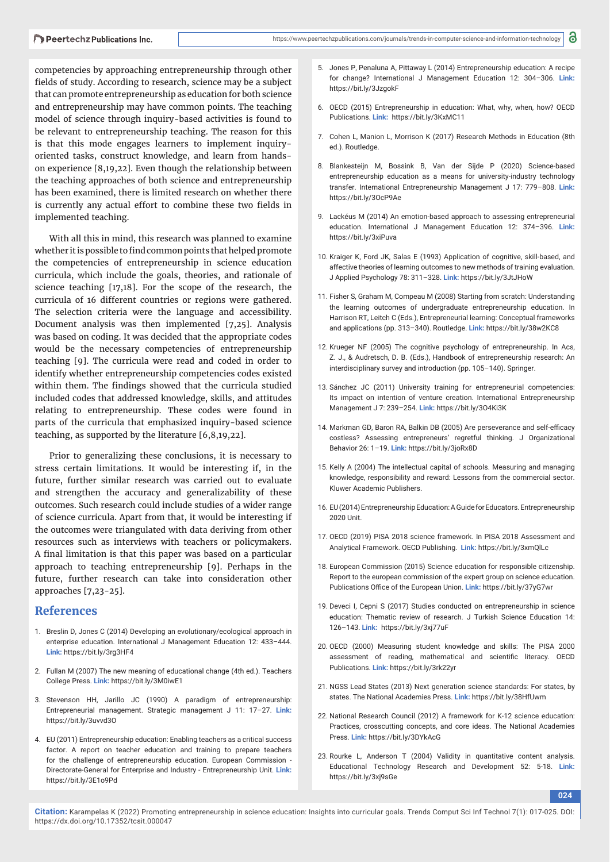competencies by approaching entrepreneurship through other fields of study. According to research, science may be a subject that can promote entrepreneurship as education for both science and entrepreneurship may have common points. The teaching model of science through inquiry-based activities is found to be relevant to entrepreneurship teaching. The reason for this is that this mode engages learners to implement inquiryoriented tasks, construct knowledge, and learn from handson experience [8,19,22]. Even though the relationship between the teaching approaches of both science and entrepreneurship has been examined, there is limited research on whether there is currently any actual effort to combine these two fields in implemented teaching.

With all this in mind, this research was planned to examine whether it is possible to find common points that helped promote the competencies of entrepreneurship in science education curricula, which include the goals, theories, and rationale of science teaching [17,18]. For the scope of the research, the curricula of 16 different countries or regions were gathered. The selection criteria were the language and accessibility. Document analysis was then implemented [7,25]. Analysis was based on coding. It was decided that the appropriate codes would be the necessary competencies of entrepreneurship teaching [9]. The curricula were read and coded in order to identify whether entrepreneurship competencies codes existed within them. The findings showed that the curricula studied included codes that addressed knowledge, skills, and attitudes relating to entrepreneurship. These codes were found in parts of the curricula that emphasized inquiry-based science teaching, as supported by the literature [6,8,19,22].

Prior to generalizing these conclusions, it is necessary to stress certain limitations. It would be interesting if, in the future, further similar research was carried out to evaluate and strengthen the accuracy and generalizability of these outcomes. Such research could include studies of a wider range of science curricula. Apart from that, it would be interesting if the outcomes were triangulated with data deriving from other resources such as interviews with teachers or policymakers. A final limitation is that this paper was based on a particular approach to teaching entrepreneurship [9]. Perhaps in the future, further research can take into consideration other approaches [7,23-25].

## **References**

- 1. Breslin D, Jones C (2014) Developing an evolutionary/ecological approach in enterprise education. International J Management Education 12: 433–444. **Link:** https://bit.ly/3rg3HF4
- 2. Fullan M (2007) The new meaning of educational change (4th ed.). Teachers College Press. **Link:** https://bit.ly/3M0iwE1
- 3. Stevenson HH, Jarillo JC (1990) A paradigm of entrepreneurship: Entrepreneurial management. Strategic management J 11: 17–27. **Link:** https://bit.ly/3uvvd3O
- 4. EU (2011) Entrepreneurship education: Enabling teachers as a critical success factor. A report on teacher education and training to prepare teachers for the challenge of entrepreneurship education. European Commission - Directorate-General for Enterprise and Industry - Entrepreneurship Unit. **Link:**  https://bit.ly/3E1o9Pd
- 5. Jones P, Penaluna A, Pittaway L (2014) Entrepreneurship education: A recipe for change? International J Management Education 12: 304–306. **Link:** https://bit.ly/3JzgokF
- 6. OECD (2015) Entrepreneurship in education: What, why, when, how? OECD Publications. **Link:** https://bit.ly/3KxMC11
- 7. Cohen L, Manion L, Morrison K (2017) Research Methods in Education (8th ed.). Routledge.
- 8. Blankesteijn M, Bossink B, Van der Sijde P (2020) Science-based entrepreneurship education as a means for university-industry technology transfer. International Entrepreneurship Management J 17: 779–808. **Link:** https://bit.ly/3OcP9Ae
- 9. Lackéus M (2014) An emotion-based approach to assessing entrepreneurial education. International J Management Education 12: 374–396. **Link:**  https://bit.ly/3xiPuva
- 10. Kraiger K, Ford JK, Salas E (1993) Application of cognitive, skill-based, and affective theories of learning outcomes to new methods of training evaluation. J Applied Psychology 78: 311–328. **Link:** https://bit.ly/3JtJHoW
- 11. Fisher S, Graham M, Compeau M (2008) Starting from scratch: Understanding the learning outcomes of undergraduate entrepreneurship education. In Harrison RT, Leitch C (Eds.), Entrepreneurial learning: Conceptual frameworks and applications (pp. 313–340). Routledge. **Link:** https://bit.ly/38w2KC8
- 12. Krueger NF (2005) The cognitive psychology of entrepreneurship. In Acs, Z. J., & Audretsch, D. B. (Eds.), Handbook of entrepreneurship research: An interdisciplinary survey and introduction (pp. 105–140). Springer.
- 13. Sánchez JC (2011) University training for entrepreneurial competencies: Its impact on intention of venture creation. International Entrepreneurship Management J 7: 239–254. **Link:** https://bit.ly/3O4Ki3K
- 14. Markman GD, Baron RA, Balkin DB (2005) Are perseverance and self-efficacy costless? Assessing entrepreneurs' regretful thinking. J Organizational Behavior 26: 1–19. **Link:** https://bit.ly/3joRx8D
- 15. Kelly A (2004) The intellectual capital of schools. Measuring and managing knowledge, responsibility and reward: Lessons from the commercial sector. Kluwer Academic Publishers.
- 16. EU (2014) Entrepreneurship Education: A Guide for Educators. Entrepreneurship 2020 Unit.
- 17. OECD (2019) PISA 2018 science framework. In PISA 2018 Assessment and Analytical Framework. OECD Publishing. **Link:** https://bit.ly/3xmQlLc
- 18. European Commission (2015) Science education for responsible citizenship. Report to the european commission of the expert group on science education. Publications Office of the European Union. Link: https://bit.ly/37yG7wr
- 19. Deveci I, Cepni S (2017) Studies conducted on entrepreneurship in science education: Thematic review of research. J Turkish Science Education 14: 126–143. **Link:** https://bit.ly/3xj77uF
- 20. OECD (2000) Measuring student knowledge and skills: The PISA 2000 assessment of reading, mathematical and scientific literacy. OECD Publications. **Link:** https://bit.ly/3rk22yr
- 21. NGSS Lead States (2013) Next generation science standards: For states, by states. The National Academies Press. **Link:** https://bit.ly/38HfUwm
- 22. National Research Council (2012) A framework for K-12 science education: Practices, crosscutting concepts, and core ideas. The National Academies Press. **Link:** https://bit.ly/3DYkAcG
- 23. Rourke L, Anderson T (2004) Validity in quantitative content analysis. Educational Technology Research and Development 52: 5-18. **Link:** https://bit.ly/3xj9sGe

**024**